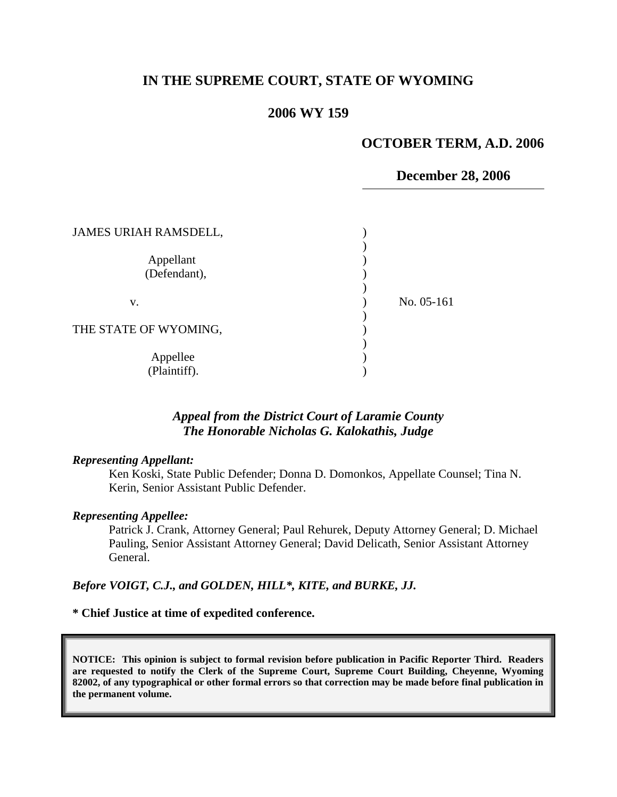# **IN THE SUPREME COURT, STATE OF WYOMING**

### **2006 WY 159**

### **OCTOBER TERM, A.D. 2006**

### **December 28, 2006**

| <b>JAMES URIAH RAMSDELL,</b> |            |
|------------------------------|------------|
| Appellant<br>(Defendant),    |            |
| V.                           | No. 05-161 |
| THE STATE OF WYOMING,        |            |
| Appellee<br>(Plaintiff).     |            |

## *Appeal from the District Court of Laramie County The Honorable Nicholas G. Kalokathis, Judge*

#### *Representing Appellant:*

Ken Koski, State Public Defender; Donna D. Domonkos, Appellate Counsel; Tina N. Kerin, Senior Assistant Public Defender.

#### *Representing Appellee:*

Patrick J. Crank, Attorney General; Paul Rehurek, Deputy Attorney General; D. Michael Pauling, Senior Assistant Attorney General; David Delicath, Senior Assistant Attorney General.

#### *Before VOIGT, C.J., and GOLDEN, HILL\*, KITE, and BURKE, JJ.*

### **\* Chief Justice at time of expedited conference.**

**NOTICE: This opinion is subject to formal revision before publication in Pacific Reporter Third. Readers are requested to notify the Clerk of the Supreme Court, Supreme Court Building, Cheyenne, Wyoming 82002, of any typographical or other formal errors so that correction may be made before final publication in the permanent volume.**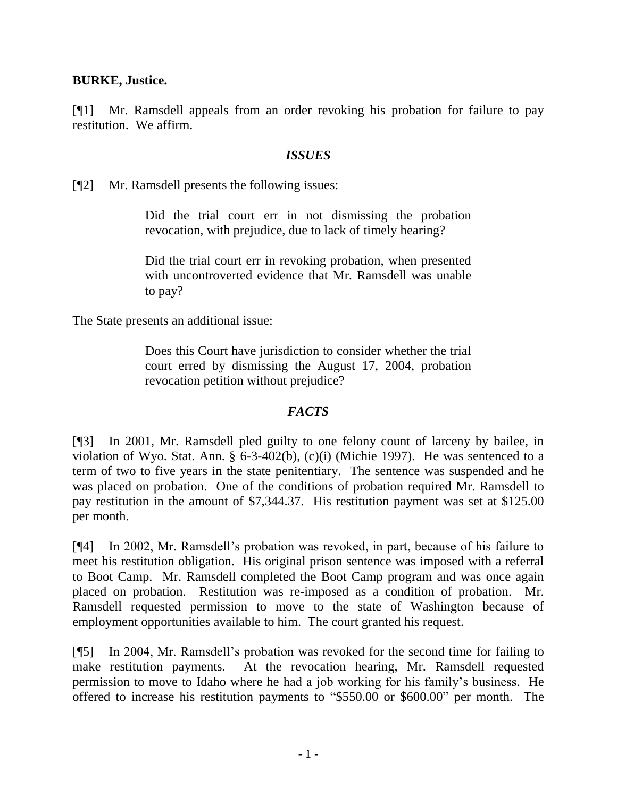# **BURKE, Justice.**

[¶1] Mr. Ramsdell appeals from an order revoking his probation for failure to pay restitution. We affirm.

# *ISSUES*

[¶2] Mr. Ramsdell presents the following issues:

Did the trial court err in not dismissing the probation revocation, with prejudice, due to lack of timely hearing?

Did the trial court err in revoking probation, when presented with uncontroverted evidence that Mr. Ramsdell was unable to pay?

The State presents an additional issue:

Does this Court have jurisdiction to consider whether the trial court erred by dismissing the August 17, 2004, probation revocation petition without prejudice?

## *FACTS*

[¶3] In 2001, Mr. Ramsdell pled guilty to one felony count of larceny by bailee, in violation of Wyo. Stat. Ann. § 6-3-402(b), (c)(i) (Michie 1997). He was sentenced to a term of two to five years in the state penitentiary. The sentence was suspended and he was placed on probation. One of the conditions of probation required Mr. Ramsdell to pay restitution in the amount of \$7,344.37. His restitution payment was set at \$125.00 per month.

[¶4] In 2002, Mr. Ramsdell's probation was revoked, in part, because of his failure to meet his restitution obligation. His original prison sentence was imposed with a referral to Boot Camp. Mr. Ramsdell completed the Boot Camp program and was once again placed on probation. Restitution was re-imposed as a condition of probation. Mr. Ramsdell requested permission to move to the state of Washington because of employment opportunities available to him. The court granted his request.

[¶5] In 2004, Mr. Ramsdell's probation was revoked for the second time for failing to make restitution payments. At the revocation hearing, Mr. Ramsdell requested permission to move to Idaho where he had a job working for his family's business. He offered to increase his restitution payments to "\$550.00 or \$600.00" per month. The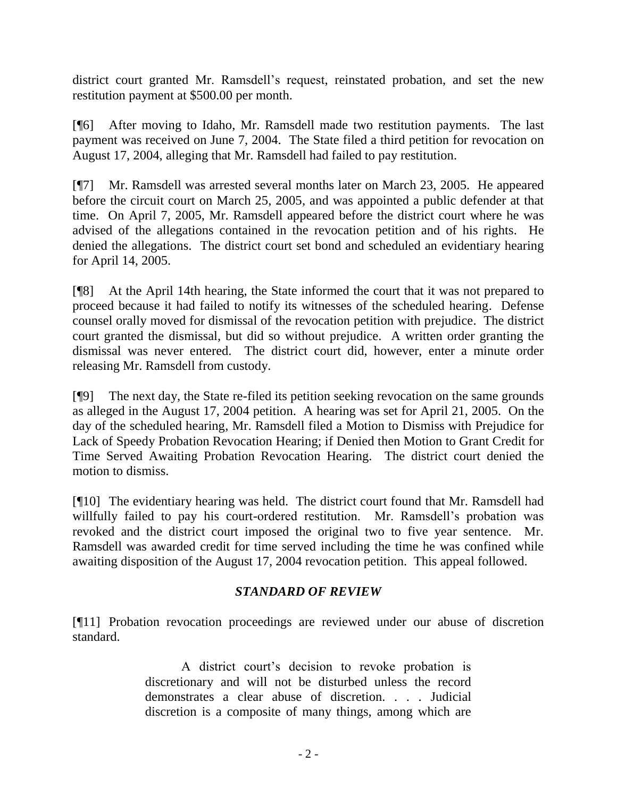district court granted Mr. Ramsdell's request, reinstated probation, and set the new restitution payment at \$500.00 per month.

[¶6] After moving to Idaho, Mr. Ramsdell made two restitution payments. The last payment was received on June 7, 2004. The State filed a third petition for revocation on August 17, 2004, alleging that Mr. Ramsdell had failed to pay restitution.

[¶7] Mr. Ramsdell was arrested several months later on March 23, 2005. He appeared before the circuit court on March 25, 2005, and was appointed a public defender at that time. On April 7, 2005, Mr. Ramsdell appeared before the district court where he was advised of the allegations contained in the revocation petition and of his rights. He denied the allegations. The district court set bond and scheduled an evidentiary hearing for April 14, 2005.

[¶8] At the April 14th hearing, the State informed the court that it was not prepared to proceed because it had failed to notify its witnesses of the scheduled hearing. Defense counsel orally moved for dismissal of the revocation petition with prejudice. The district court granted the dismissal, but did so without prejudice. A written order granting the dismissal was never entered. The district court did, however, enter a minute order releasing Mr. Ramsdell from custody.

[¶9] The next day, the State re-filed its petition seeking revocation on the same grounds as alleged in the August 17, 2004 petition. A hearing was set for April 21, 2005. On the day of the scheduled hearing, Mr. Ramsdell filed a Motion to Dismiss with Prejudice for Lack of Speedy Probation Revocation Hearing; if Denied then Motion to Grant Credit for Time Served Awaiting Probation Revocation Hearing. The district court denied the motion to dismiss.

[¶10] The evidentiary hearing was held. The district court found that Mr. Ramsdell had willfully failed to pay his court-ordered restitution. Mr. Ramsdell's probation was revoked and the district court imposed the original two to five year sentence. Mr. Ramsdell was awarded credit for time served including the time he was confined while awaiting disposition of the August 17, 2004 revocation petition. This appeal followed.

# *STANDARD OF REVIEW*

[¶11] Probation revocation proceedings are reviewed under our abuse of discretion standard.

> A district court's decision to revoke probation is discretionary and will not be disturbed unless the record demonstrates a clear abuse of discretion. . . . Judicial discretion is a composite of many things, among which are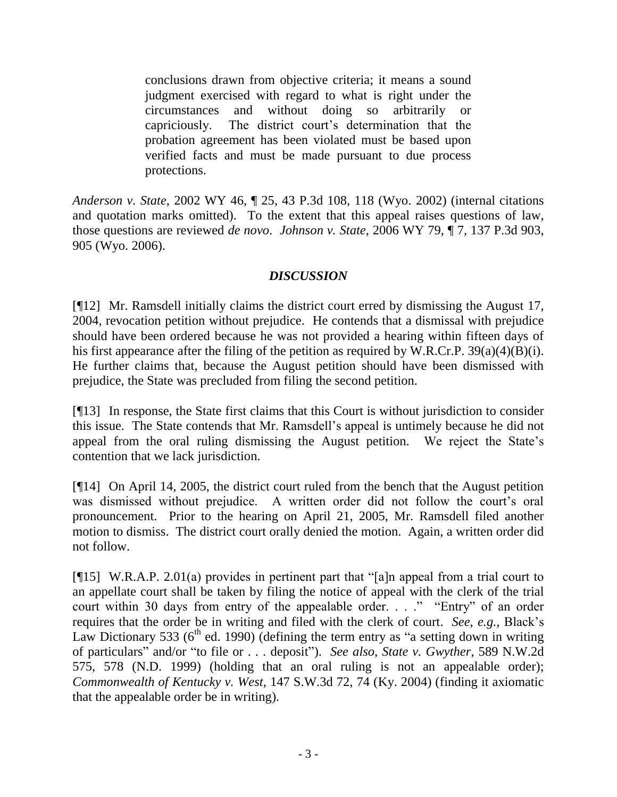conclusions drawn from objective criteria; it means a sound judgment exercised with regard to what is right under the circumstances and without doing so arbitrarily or capriciously. The district court's determination that the probation agreement has been violated must be based upon verified facts and must be made pursuant to due process protections.

*Anderson v. State*, 2002 WY 46, ¶ 25, 43 P.3d 108, 118 (Wyo. 2002) (internal citations and quotation marks omitted). To the extent that this appeal raises questions of law, those questions are reviewed *de novo*. *Johnson v. State*, 2006 WY 79, ¶ 7, 137 P.3d 903, 905 (Wyo. 2006).

# *DISCUSSION*

[¶12] Mr. Ramsdell initially claims the district court erred by dismissing the August 17, 2004, revocation petition without prejudice. He contends that a dismissal with prejudice should have been ordered because he was not provided a hearing within fifteen days of his first appearance after the filing of the petition as required by W.R.Cr.P.  $39(a)(4)(B)(i)$ . He further claims that, because the August petition should have been dismissed with prejudice, the State was precluded from filing the second petition.

[¶13] In response, the State first claims that this Court is without jurisdiction to consider this issue. The State contends that Mr. Ramsdell's appeal is untimely because he did not appeal from the oral ruling dismissing the August petition. We reject the State's contention that we lack jurisdiction.

[¶14] On April 14, 2005, the district court ruled from the bench that the August petition was dismissed without prejudice. A written order did not follow the court's oral pronouncement. Prior to the hearing on April 21, 2005, Mr. Ramsdell filed another motion to dismiss. The district court orally denied the motion. Again, a written order did not follow.

[¶15] W.R.A.P. 2.01(a) provides in pertinent part that "[a]n appeal from a trial court to an appellate court shall be taken by filing the notice of appeal with the clerk of the trial court within 30 days from entry of the appealable order. . . ." "Entry" of an order requires that the order be in writing and filed with the clerk of court. *See, e.g.,* Black's Law Dictionary 533 ( $6<sup>th</sup>$  ed. 1990) (defining the term entry as "a setting down in writing of particulars" and/or "to file or . . . deposit"). *See also, State v. Gwyther*, 589 N.W.2d 575, 578 (N.D. 1999) (holding that an oral ruling is not an appealable order); *Commonwealth of Kentucky v. West*, 147 S.W.3d 72, 74 (Ky. 2004) (finding it axiomatic that the appealable order be in writing).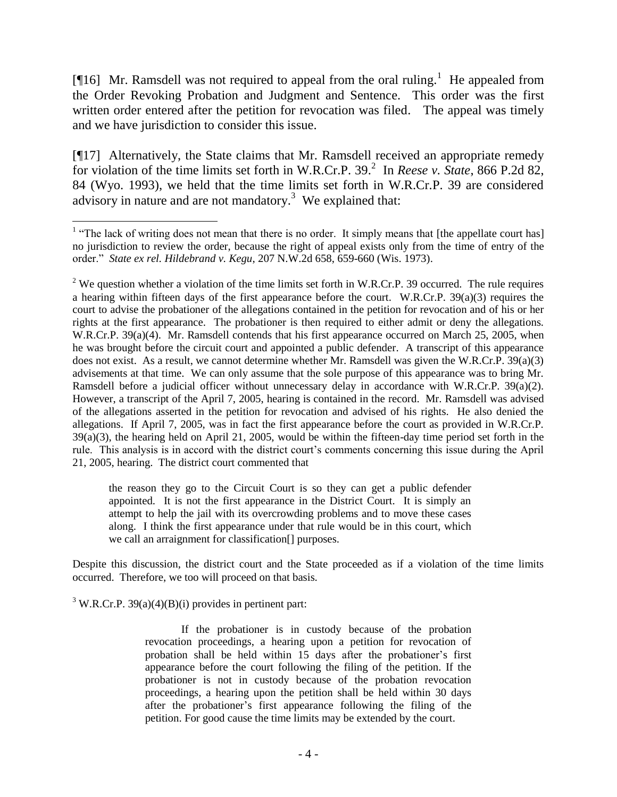[ $[16]$  Mr. Ramsdell was not required to appeal from the oral ruling.<sup>1</sup> He appealed from the Order Revoking Probation and Judgment and Sentence. This order was the first written order entered after the petition for revocation was filed. The appeal was timely and we have jurisdiction to consider this issue.

[¶17] Alternatively, the State claims that Mr. Ramsdell received an appropriate remedy for violation of the time limits set forth in W.R.Cr.P. 39. 2 In *Reese v. State*, 866 P.2d 82, 84 (Wyo. 1993), we held that the time limits set forth in W.R.Cr.P. 39 are considered advisory in nature and are not mandatory.<sup>3</sup> We explained that:

the reason they go to the Circuit Court is so they can get a public defender appointed. It is not the first appearance in the District Court. It is simply an attempt to help the jail with its overcrowding problems and to move these cases along. I think the first appearance under that rule would be in this court, which we call an arraignment for classification[] purposes.

Despite this discussion, the district court and the State proceeded as if a violation of the time limits occurred. Therefore, we too will proceed on that basis.

 $3$  W.R.Cr.P. 39(a)(4)(B)(i) provides in pertinent part:

If the probationer is in custody because of the probation revocation proceedings, a hearing upon a petition for revocation of probation shall be held within 15 days after the probationer's first appearance before the court following the filing of the petition. If the probationer is not in custody because of the probation revocation proceedings, a hearing upon the petition shall be held within 30 days after the probationer's first appearance following the filing of the petition. For good cause the time limits may be extended by the court.

 $\overline{a}$ <sup>1</sup> "The lack of writing does not mean that there is no order. It simply means that [the appellate court has] no jurisdiction to review the order, because the right of appeal exists only from the time of entry of the order." *State ex rel. Hildebrand v. Kegu*[, 207 N.W.2d 658, 659-660 \(Wis. 1973\).](http://www.lexis.com/research/xlink?app=00075&view=full&searchtype=get&search=59+Wis.+2d+216)

<sup>&</sup>lt;sup>2</sup> We question whether a violation of the time limits set forth in W.R.Cr.P. 39 occurred. The rule requires a hearing within fifteen days of the first appearance before the court. W.R.Cr.P. 39(a)(3) requires the court to advise the probationer of the allegations contained in the petition for revocation and of his or her rights at the first appearance. The probationer is then required to either admit or deny the allegations. W.R.Cr.P. 39(a)(4). Mr. Ramsdell contends that his first appearance occurred on March 25, 2005, when he was brought before the circuit court and appointed a public defender. A transcript of this appearance does not exist. As a result, we cannot determine whether Mr. Ramsdell was given the W.R.Cr.P. 39(a)(3) advisements at that time. We can only assume that the sole purpose of this appearance was to bring Mr. Ramsdell before a judicial officer without unnecessary delay in accordance with W.R.Cr.P. 39(a)(2). However, a transcript of the April 7, 2005, hearing is contained in the record. Mr. Ramsdell was advised of the allegations asserted in the petition for revocation and advised of his rights. He also denied the allegations. If April 7, 2005, was in fact the first appearance before the court as provided in W.R.Cr.P. 39(a)(3), the hearing held on April 21, 2005, would be within the fifteen-day time period set forth in the rule. This analysis is in accord with the district court's comments concerning this issue during the April 21, 2005, hearing. The district court commented that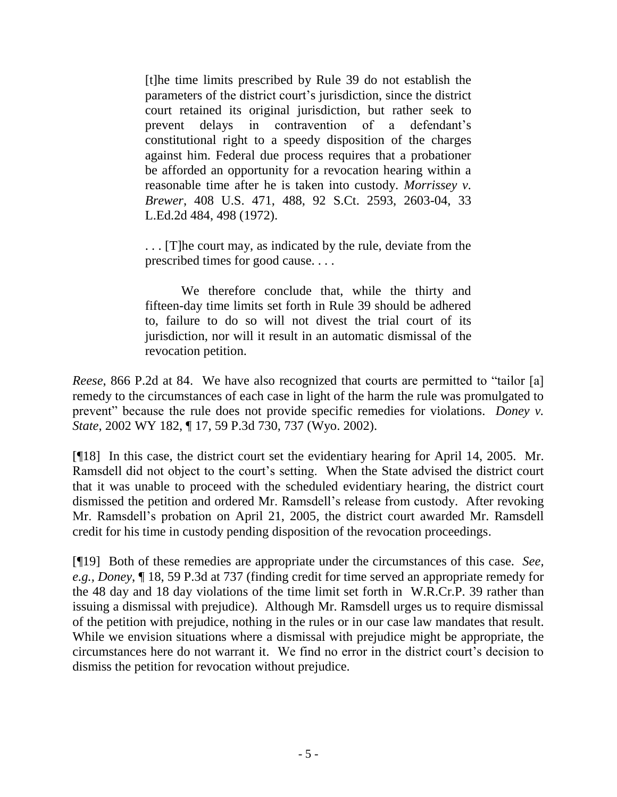[t]he time limits prescribed by Rule 39 do not establish the parameters of the district court's jurisdiction, since the district court retained its original jurisdiction, but rather seek to prevent delays in contravention of a defendant's constitutional right to a speedy disposition of the charges against him. Federal due process requires that a probationer be afforded an opportunity for a revocation hearing within a reasonable time after he is taken into custody. *Morrissey v. Brewer*, 408 U.S. 471, 488, 92 S.Ct. 2593, 2603-04, 33 L.Ed.2d 484, 498 (1972).

. . . [T]he court may, as indicated by the rule, deviate from the prescribed times for good cause. . . .

We therefore conclude that, while the thirty and fifteen-day time limits set forth in Rule 39 should be adhered to, failure to do so will not divest the trial court of its jurisdiction, nor will it result in an automatic dismissal of the revocation petition.

*Reese*, 866 P.2d at 84. We have also recognized that courts are permitted to "tailor [a] remedy to the circumstances of each case in light of the harm the rule was promulgated to prevent" because the rule does not provide specific remedies for violations. *Doney v. State*, 2002 WY 182, ¶ 17, 59 P.3d 730, 737 (Wyo. 2002).

[¶18] In this case, the district court set the evidentiary hearing for April 14, 2005. Mr. Ramsdell did not object to the court's setting. When the State advised the district court that it was unable to proceed with the scheduled evidentiary hearing, the district court dismissed the petition and ordered Mr. Ramsdell's release from custody. After revoking Mr. Ramsdell's probation on April 21, 2005, the district court awarded Mr. Ramsdell credit for his time in custody pending disposition of the revocation proceedings.

[¶19] Both of these remedies are appropriate under the circumstances of this case. *See, e.g., Doney*, ¶ 18, 59 P.3d at 737 (finding credit for time served an appropriate remedy for the 48 day and 18 day violations of the time limit set forth in W.R.Cr.P. 39 rather than issuing a dismissal with prejudice). Although Mr. Ramsdell urges us to require dismissal of the petition with prejudice, nothing in the rules or in our case law mandates that result. While we envision situations where a dismissal with prejudice might be appropriate, the circumstances here do not warrant it. We find no error in the district court's decision to dismiss the petition for revocation without prejudice.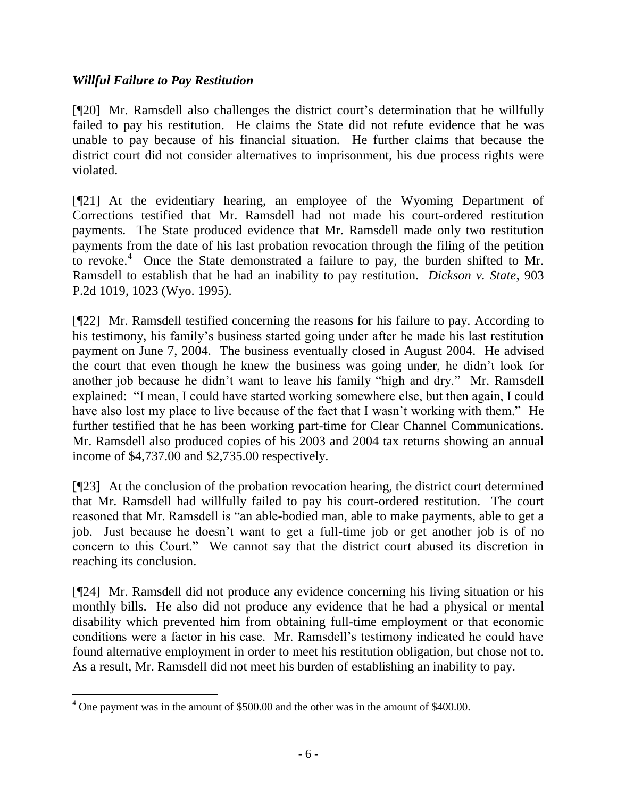# *Willful Failure to Pay Restitution*

[¶20] Mr. Ramsdell also challenges the district court's determination that he willfully failed to pay his restitution. He claims the State did not refute evidence that he was unable to pay because of his financial situation. He further claims that because the district court did not consider alternatives to imprisonment, his due process rights were violated.

[¶21] At the evidentiary hearing, an employee of the Wyoming Department of Corrections testified that Mr. Ramsdell had not made his court-ordered restitution payments. The State produced evidence that Mr. Ramsdell made only two restitution payments from the date of his last probation revocation through the filing of the petition to revoke.<sup>4</sup> Once the State demonstrated a failure to pay, the burden shifted to Mr. Ramsdell to establish that he had an inability to pay restitution. *Dickson v. State*, 903 P.2d 1019, 1023 (Wyo. 1995).

[¶22] Mr. Ramsdell testified concerning the reasons for his failure to pay. According to his testimony, his family's business started going under after he made his last restitution payment on June 7, 2004. The business eventually closed in August 2004. He advised the court that even though he knew the business was going under, he didn't look for another job because he didn't want to leave his family "high and dry." Mr. Ramsdell explained: "I mean, I could have started working somewhere else, but then again, I could have also lost my place to live because of the fact that I wasn't working with them." He further testified that he has been working part-time for Clear Channel Communications. Mr. Ramsdell also produced copies of his 2003 and 2004 tax returns showing an annual income of \$4,737.00 and \$2,735.00 respectively.

[¶23] At the conclusion of the probation revocation hearing, the district court determined that Mr. Ramsdell had willfully failed to pay his court-ordered restitution. The court reasoned that Mr. Ramsdell is "an able-bodied man, able to make payments, able to get a job. Just because he doesn't want to get a full-time job or get another job is of no concern to this Court." We cannot say that the district court abused its discretion in reaching its conclusion.

[¶24] Mr. Ramsdell did not produce any evidence concerning his living situation or his monthly bills. He also did not produce any evidence that he had a physical or mental disability which prevented him from obtaining full-time employment or that economic conditions were a factor in his case. Mr. Ramsdell's testimony indicated he could have found alternative employment in order to meet his restitution obligation, but chose not to. As a result, Mr. Ramsdell did not meet his burden of establishing an inability to pay.

 $\overline{a}$ 

<sup>&</sup>lt;sup>4</sup> One payment was in the amount of \$500.00 and the other was in the amount of \$400.00.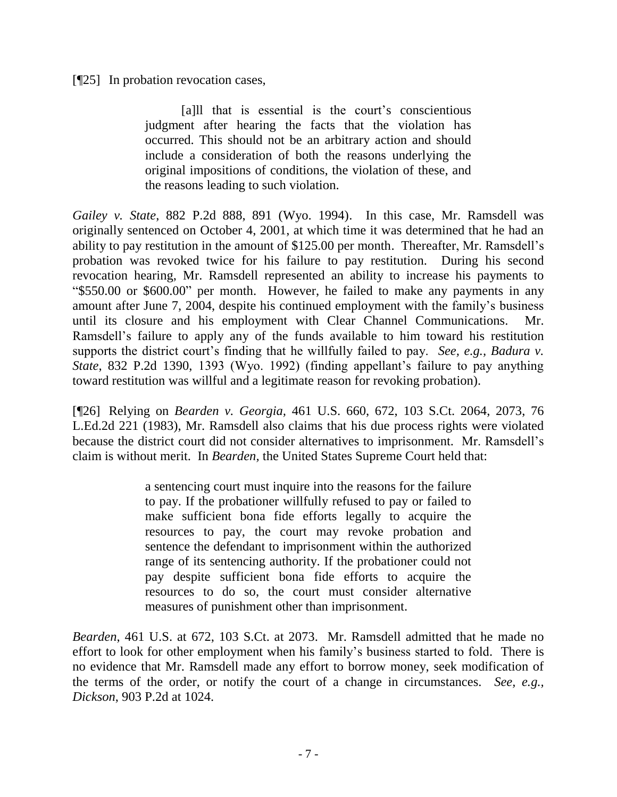[¶25] In probation revocation cases,

[a]ll that is essential is the court's conscientious judgment after hearing the facts that the violation has occurred. This should not be an arbitrary action and should include a consideration of both the reasons underlying the original impositions of conditions, the violation of these, and the reasons leading to such violation.

*Gailey v. State*[, 882 P.2d 888, 891 \(Wyo. 1994\).](http://www.lexis.com/research/xlink?app=00075&view=full&searchtype=get&search=882+P.2d+891) In this case, Mr. Ramsdell was originally sentenced on October 4, 2001, at which time it was determined that he had an ability to pay restitution in the amount of \$125.00 per month. Thereafter, Mr. Ramsdell's probation was revoked twice for his failure to pay restitution. During his second revocation hearing, Mr. Ramsdell represented an ability to increase his payments to "\$550.00 or \$600.00" per month. However, he failed to make any payments in any amount after June 7, 2004, despite his continued employment with the family's business until its closure and his employment with Clear Channel Communications. Mr. Ramsdell's failure to apply any of the funds available to him toward his restitution supports the district court's finding that he willfully failed to pay. *See, e.g., Badura v. State*, 832 P.2d 1390, 1393 (Wyo. 1992) (finding appellant's failure to pay anything toward restitution was willful and a legitimate reason for revoking probation).

[¶26] Relying on *Bearden v. Georgia,* 461 U.S. 660, 672, 103 S.Ct. 2064, 2073, 76 L.Ed.2d 221 (1983), Mr. Ramsdell also claims that his due process rights were violated because the district court did not consider alternatives to imprisonment. Mr. Ramsdell's claim is without merit. In *Bearden,* the United States Supreme Court held that:

> a sentencing court must inquire into the reasons for the failure to pay. If the probationer willfully refused to pay or failed to make sufficient bona fide efforts legally to acquire the resources to pay, the court may revoke probation and sentence the defendant to imprisonment within the authorized range of its sentencing authority. If the probationer could not pay despite sufficient bona fide efforts to acquire the resources to do so, the court must consider alternative measures of punishment other than imprisonment.

*Bearden*, 461 U.S. at 672, [103 S.Ct. at 2073.](http://www.lexis.com/research/xlink?app=00075&view=full&searchtype=get&search=461+U.S.+672) Mr. Ramsdell admitted that he made no effort to look for other employment when his family's business started to fold. There is no evidence that Mr. Ramsdell made any effort to borrow money, seek modification of the terms of the order, or notify the court of a change in circumstances. *See, e.g., Dickson*, 903 P.2d at 1024.